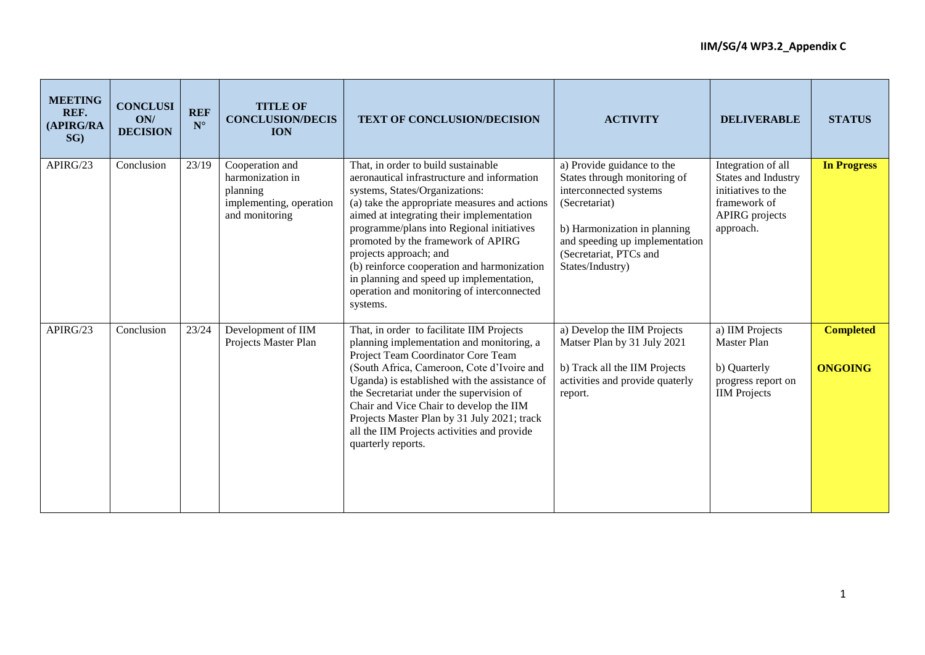| <b>MEETING</b><br>REF.<br>(APIRG/RA<br>$SG$ ) | <b>CONCLUSI</b><br>ON/<br><b>DECISION</b> | <b>REF</b><br>$\mathbf{N}^\circ$ | <b>TITLE OF</b><br><b>CONCLUSION/DECIS</b><br><b>ION</b>                                     | <b>TEXT OF CONCLUSION/DECISION</b>                                                                                                                                                                                                                                                                                                                                                                                                                                                   | <b>ACTIVITY</b>                                                                                                                                                                                                       | <b>DELIVERABLE</b>                                                                                                    | <b>STATUS</b>                      |
|-----------------------------------------------|-------------------------------------------|----------------------------------|----------------------------------------------------------------------------------------------|--------------------------------------------------------------------------------------------------------------------------------------------------------------------------------------------------------------------------------------------------------------------------------------------------------------------------------------------------------------------------------------------------------------------------------------------------------------------------------------|-----------------------------------------------------------------------------------------------------------------------------------------------------------------------------------------------------------------------|-----------------------------------------------------------------------------------------------------------------------|------------------------------------|
| APIRG/23                                      | Conclusion                                | 23/19                            | Cooperation and<br>harmonization in<br>planning<br>implementing, operation<br>and monitoring | That, in order to build sustainable<br>aeronautical infrastructure and information<br>systems, States/Organizations:<br>(a) take the appropriate measures and actions<br>aimed at integrating their implementation<br>programme/plans into Regional initiatives<br>promoted by the framework of APIRG<br>projects approach; and<br>(b) reinforce cooperation and harmonization<br>in planning and speed up implementation,<br>operation and monitoring of interconnected<br>systems. | a) Provide guidance to the<br>States through monitoring of<br>interconnected systems<br>(Secretariat)<br>b) Harmonization in planning<br>and speeding up implementation<br>(Secretariat, PTCs and<br>States/Industry) | Integration of all<br>States and Industry<br>initiatives to the<br>framework of<br><b>APIRG</b> projects<br>approach. | <b>In Progress</b>                 |
| APIRG/23                                      | Conclusion                                | 23/24                            | Development of IIM<br>Projects Master Plan                                                   | That, in order to facilitate IIM Projects<br>planning implementation and monitoring, a<br>Project Team Coordinator Core Team<br>(South Africa, Cameroon, Cote d'Ivoire and<br>Uganda) is established with the assistance of<br>the Secretariat under the supervision of<br>Chair and Vice Chair to develop the IIM<br>Projects Master Plan by 31 July 2021; track<br>all the IIM Projects activities and provide<br>quarterly reports.                                               | a) Develop the IIM Projects<br>Matser Plan by 31 July 2021<br>b) Track all the IIM Projects<br>activities and provide quaterly<br>report.                                                                             | a) IIM Projects<br>Master Plan<br>b) Quarterly<br>progress report on<br><b>IIM</b> Projects                           | <b>Completed</b><br><b>ONGOING</b> |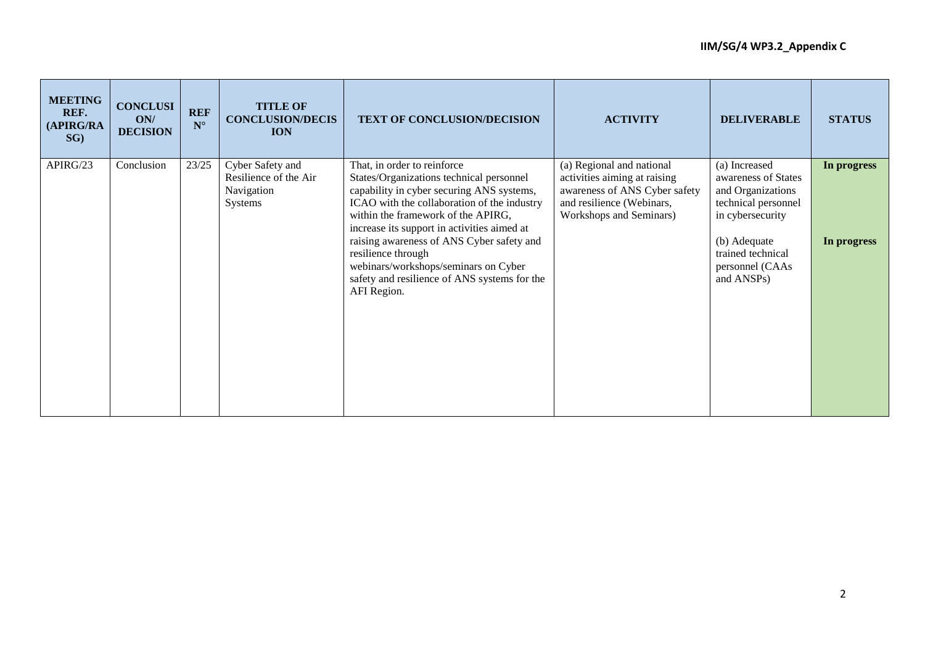| <b>MEETING</b><br>REF.<br>(APIRG/RA<br>SG) | <b>CONCLUSI</b><br>ON/<br><b>DECISION</b> | <b>REF</b><br>$N^{\circ}$ | <b>TITLE OF</b><br><b>CONCLUSION/DECIS</b><br><b>ION</b>           | TEXT OF CONCLUSION/DECISION                                                                                                                                                                                                                              | <b>ACTIVITY</b>                                                                                                                                    | <b>DELIVERABLE</b>                                                                                   | <b>STATUS</b> |
|--------------------------------------------|-------------------------------------------|---------------------------|--------------------------------------------------------------------|----------------------------------------------------------------------------------------------------------------------------------------------------------------------------------------------------------------------------------------------------------|----------------------------------------------------------------------------------------------------------------------------------------------------|------------------------------------------------------------------------------------------------------|---------------|
| APIRG/23                                   | Conclusion                                | 23/25                     | Cyber Safety and<br>Resilience of the Air<br>Navigation<br>Systems | That, in order to reinforce<br>States/Organizations technical personnel<br>capability in cyber securing ANS systems,<br>ICAO with the collaboration of the industry<br>within the framework of the APIRG,<br>increase its support in activities aimed at | (a) Regional and national<br>activities aiming at raising<br>awareness of ANS Cyber safety<br>and resilience (Webinars,<br>Workshops and Seminars) | (a) Increased<br>awareness of States<br>and Organizations<br>technical personnel<br>in cybersecurity | In progress   |
|                                            |                                           |                           |                                                                    | raising awareness of ANS Cyber safety and<br>resilience through<br>webinars/workshops/seminars on Cyber<br>safety and resilience of ANS systems for the<br>AFI Region.                                                                                   |                                                                                                                                                    | (b) Adequate<br>trained technical<br>personnel (CAAs<br>and ANSPs)                                   | In progress   |